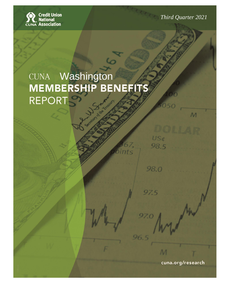**Solution**<br>CUNA Association

**Mid Year 2017** *Third Quarter 2021*

 $M$ 

US¢

98.5

98.0

97.5

97.0

96.5

nts

# REPORT **Washington** Washington

**Washington**

Prepared by: CUNA Economics and Statistics

cuna.org/research

 $\overline{M}$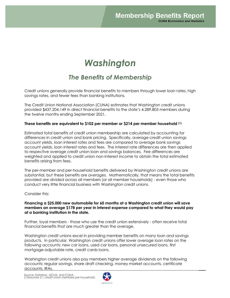## *Washington*

### *The Benefits of Membership*

Credit unions generally provide financial benefits to members through lower loan rates, high savings rates, and fewer fees than banking institutions.

The Credit Union National Association (CUNA) estimates that Washington credit unions provided \$437,204,149 in direct financial benefits to the state's 4,289,805 members during the twelve months ending September 2021.

#### **These benefits are equivalent to \$102 per member or \$214 per member household (1).**

Estimated total benefits of credit union membership are calculated by accounting for differences in credit union and bank pricing. Specifically, average credit union savings account yields, loan interest rates and fees are compared to average bank savings account yields, loan interest rates and fees. The interest rate differences are then applied to respective average credit union loan and savings balances. Fee differences are weighted and applied to credit union non-interest income to obtain the total estimated benefits arising from fees.

The per-member and per-household benefits delivered by Washington credit unions are substantial, but these benefits are *averages*. Mathematically, that means the total benefits provided are divided across all members (or all member households) - even those who conduct very little financial business with Washington credit unions.

#### Consider this:

#### **Financing <sup>a</sup> \$25,000 new automobile for 60 months at a Washington credit union will save members an average \$178 per year in interest expense compared to what they would pay at a banking institution in the state.**

Further, loyal members - those who use the credit union extensively - often receive total financial benefits that are much greater than the average.

Washington credit unions excel in providing member benefits on many loan and savings products. In particular, Washington credit unions offer lower average loan rates on the following accounts: new car loans, used car loans, personal unsecured loans, first mortgage-adjustable rate, credit cards loans.

Washington credit unions also pay members higher average dividends on the following accounts: regular savings, share draft checking, money market accounts, certificate accounts, IRAs.

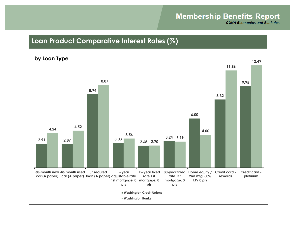## **Membership Benefits Report**

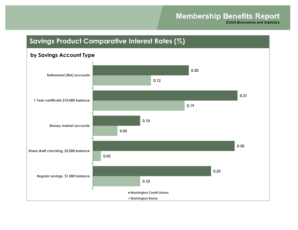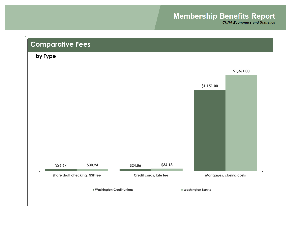## **Membership Benefits Report**

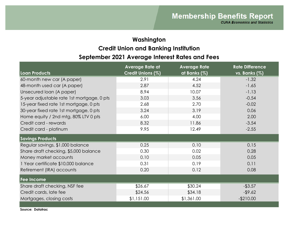## **Washington September 2021 Average Interest Rates and Fees Credit Union and Banking Institution**

| Loan Products                              | <b>Average Rate at</b><br>Credit Unions (%) | <b>Average Rate</b><br>at Banks (%) | <b>Rate Difference</b><br>vs. Banks (%) |
|--------------------------------------------|---------------------------------------------|-------------------------------------|-----------------------------------------|
| 60-month new car (A paper)                 | 2.91                                        | 4.24                                | $-1.32$                                 |
| 48-month used car (A paper)                | 2.87                                        | 4.52                                | $-1.65$                                 |
| Unsecured loan (A paper)                   | 8.94                                        | 10.07                               | $-1.13$                                 |
| 5-year adjustable rate 1st mortgage, 0 pts | 3.03                                        | 3.56                                | $-0.54$                                 |
| 15-year fixed rate 1st mortgage, 0 pts     | 2.68                                        | 2.70                                | $-0.02$                                 |
| 30-year fixed rate 1st mortgage, 0 pts     | 3.24                                        | 3.19                                | 0.06                                    |
| Home equity / 2nd mtg, 80% LTV 0 pts       | 6.00                                        | 4.00                                | 2.00                                    |
| Credit card - rewards                      | 8.32                                        | 11.86                               | $-3.54$                                 |
| Credit card - platinum                     | 9.95                                        | 12.49                               | $-2.55$                                 |
| <b>Savings Products</b>                    |                                             |                                     |                                         |
| Regular savings, \$1,000 balance           | 0.25                                        | 0.10                                | 0.15                                    |
| Share draft checking, \$5,000 balance      | 0.30                                        | 0.02                                | 0.28                                    |
| Money market accounts                      | 0.10                                        | 0.05                                | 0.05                                    |
| 1 Year certificate \$10,000 balance        | 0.31                                        | 0.19                                | 0.11                                    |
| Retirement (IRA) accounts                  | 0.20                                        | 0.12                                | 0.08                                    |
| Fee Income                                 |                                             |                                     |                                         |
| Share draft checking, NSF fee              | \$26.67                                     | \$30.24                             | $-$ \$3.57                              |
| Credit cards, late fee                     | \$24.56                                     | \$34.18                             | $-$ \$9.62                              |
| Mortgages, closing costs                   | \$1,151.00                                  | \$1,361.00                          | $-$210.00$                              |
|                                            |                                             |                                     |                                         |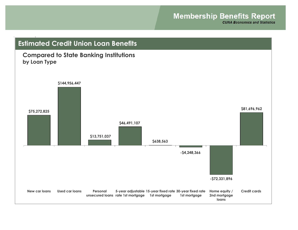**CUNA Economics and Statistics** 

## **\$75,272,825 \$144,956,447 \$13,751,037 \$46,491,107 \$638,563 -\$4,248,366 -\$72,331,896 \$81,696,962 New car loans Used car loans Personal unsecured loans rate 1st mortgage 1st mortgage 5-year adjustable 15-year fixed rate 30-year fixed rate 1st mortgage Home equity / 2nd mortgage loans Credit cards Compared to State Banking Institutions by Loan Type Estimated Credit Union Loan Benefits**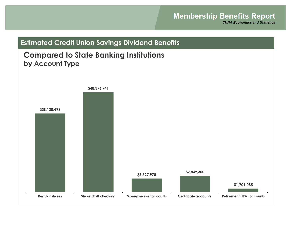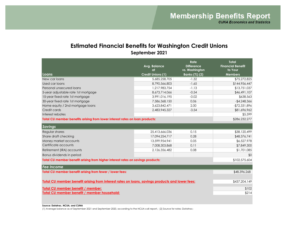#### **Estimated Financial Benefits for Washington Credit Unions September 2021**

|                                                                                                | Avg. Balance<br>at       | Rate<br><b>Difference</b><br>vs. Washington | <b>Total</b><br><b>Financial Benefit</b><br>to Your |
|------------------------------------------------------------------------------------------------|--------------------------|---------------------------------------------|-----------------------------------------------------|
| Loans                                                                                          | <b>Credit Unions (1)</b> | Banks (%) (2)                               | <b>Members</b>                                      |
| New car loans                                                                                  | 5,685,258,705            | $-1.32$                                     | \$75,272,825                                        |
| Used car loans                                                                                 | 8,790,566,803            | $-1.65$                                     | \$144,956,447                                       |
| Personal unsecured loans                                                                       | 1,217,983,754            | $-1.13$                                     | \$13,751,037                                        |
| 5-year adjustable rate 1st mortgage                                                            | 8,673,714,066            | $-0.54$                                     | \$46,491,107                                        |
| 15-year fixed rate 1st mortgage                                                                | 3,991,016,195            | $-0.02$                                     | \$638,563                                           |
| 30-year fixed rate 1st mortgage                                                                | 7,586,368,150            | 0.06                                        | $-$4,248,366$                                       |
| Home equity / 2nd mortgage loans                                                               | 3,623,842,471            | 2.00                                        | -\$72,331,896                                       |
| Credit cards                                                                                   | 2,483,945,327            | $-3.54$                                     | \$81,696,962                                        |
| Interest rebates                                                                               |                          |                                             | \$5,599                                             |
| Total CU member benefits arising from lower interest rates on loan products:                   | \$286,232,277            |                                             |                                                     |
| <b>Savings</b>                                                                                 |                          |                                             |                                                     |
| Regular shares                                                                                 | 25,413,666,036           | 0.15                                        | \$38,120,499                                        |
| Share draft checking                                                                           | 17,094,254,717           | 0.28                                        | \$48,376,741                                        |
| Money market accounts                                                                          | 13,599,954,941           | 0.05                                        | \$6,527,978                                         |
| Certificate accounts                                                                           | 7,008,303,868            | 0.11                                        | \$7,849,300                                         |
| Retirement (IRA) accounts                                                                      | 2,126,356,482            | 0.08                                        | \$1,701,085                                         |
| Bonus dividends in period                                                                      |                          |                                             | \$0                                                 |
| Total CU member benefit arising from higher interest rates on savings products:                | \$102,575,604            |                                             |                                                     |
| <b>Fee Income</b>                                                                              |                          |                                             |                                                     |
| Total CU member benefit arising from fewer / lower fees:                                       |                          |                                             | \$48,396,268                                        |
| Total CU member benefit arising from interest rates on loans, savings products and lower fees: | \$437,204,149            |                                             |                                                     |
| Total CU member benefit / member:                                                              | \$102                    |                                             |                                                     |
| Total CU member benefit / member household:                                                    | \$214                    |                                             |                                                     |

**Source: Datatrac, NCUA, and CUNA**

(1) Average balance as of September 2021 and September 2020, according to the NCUA call report.; (2) Source for rates: Datatrac;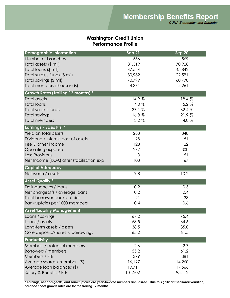#### **Washington Credit Union Performance Profile**

| <b>Demographic Information</b>           | Sep 21  | Sep 20 |
|------------------------------------------|---------|--------|
| Number of branches                       | 556     | 569    |
| Total assets (\$ mil)                    | 81,319  | 70,928 |
| Total loans (\$ mil)                     | 47,554  | 45,842 |
| Total surplus funds (\$ mil)             | 30,932  | 22,591 |
| Total savings (\$ mil)                   | 70,799  | 60,770 |
| Total members (thousands)                | 4,371   | 4,261  |
| Growth Rates (Trailing 12 months) *      |         |        |
| <b>Total assets</b>                      | 14.9 %  | 18.4 % |
| <b>Total loans</b>                       | 4.0 %   | 5.2%   |
| Total surplus funds                      | 37.1 %  | 62.4 % |
| Total savings                            | 16.8%   | 21.9%  |
| <b>Total members</b>                     | $3.2\%$ | 4.0 %  |
| <b>Earnings - Basis Pts. *</b>           |         |        |
| Yield on total assets                    | 283     | 348    |
| Dividend / interest cost of assets       | 28      | 51     |
| Fee & other income                       | 128     | 122    |
| Operating expense                        | 277     | 300    |
| <b>Loss Provisions</b>                   | 3       | 51     |
| Net Income (ROA) after stabilization exp | 103     | 67     |
| <b>Capital Adequacy</b>                  |         |        |
| Net worth / assets                       | 9.8     | 10.2   |
| <b>Asset Quality *</b>                   |         |        |
| Delinquencies / Ioans                    | 0.2     | 0.3    |
| Net chargeoffs / average loans           | 0.2     | 0.4    |
| Total borrower-bankruptcies              | 21      | 33     |
| Bankruptcies per 1000 members            | 0.4     | 0.6    |
| <b>Asset/Liability Management</b>        |         |        |
| Loans / savings                          | 67.2    | 75.4   |
| Loans / assets                           | 58.5    | 64.6   |
| Long-term assets / assets                | 38.5    | 35.0   |
| Core deposits/shares & borrowings        | 65.2    | 61.5   |
| Productivity                             |         |        |
| Members / potential members              | 2.6     | 2.7    |
| Borrowers / members                      | 55.2    | 61.2   |
| Members / FTE                            | 379     | 381    |
| Average shares / members (\$)            | 16,197  | 14,260 |
| Average loan balances (\$)               |         |        |
|                                          | 19,711  | 17,566 |

**\* Earnings, net chargeoffs, and bankruptcies are year-to-date numbers annualized. Due to significant seasonal variation, balance sheet growth rates are for the trailing 12 months.**